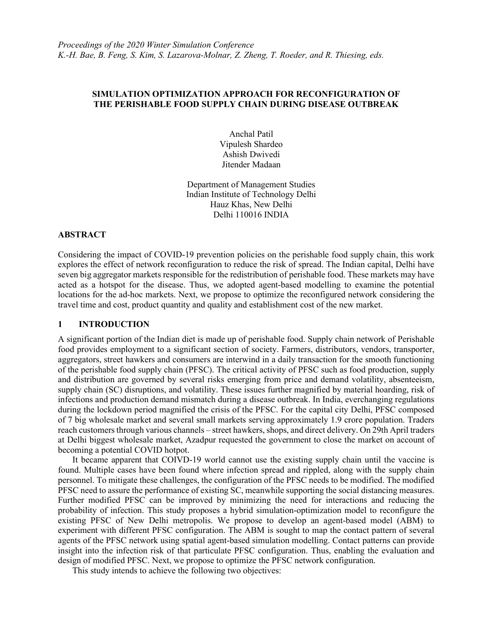### SIMULATION OPTIMIZATION APPROACH FOR RECONFIGURATION OF THE PERISHABLE FOOD SUPPLY CHAIN DURING DISEASE OUTBREAK

Anchal Patil Vipulesh Shardeo Ashish Dwivedi Jitender Madaan

Department of Management Studies Indian Institute of Technology Delhi Hauz Khas, New Delhi Delhi 110016 INDIA

## ABSTRACT

Considering the impact of COVID-19 prevention policies on the perishable food supply chain, this work explores the effect of network reconfiguration to reduce the risk of spread. The Indian capital, Delhi have seven big aggregator markets responsible for the redistribution of perishable food. These markets may have acted as a hotspot for the disease. Thus, we adopted agent-based modelling to examine the potential locations for the ad-hoc markets. Next, we propose to optimize the reconfigured network considering the travel time and cost, product quantity and quality and establishment cost of the new market.

#### 1 INTRODUCTION

A significant portion of the Indian diet is made up of perishable food. Supply chain network of Perishable food provides employment to a significant section of society. Farmers, distributors, vendors, transporter, aggregators, street hawkers and consumers are interwind in a daily transaction for the smooth functioning of the perishable food supply chain (PFSC). The critical activity of PFSC such as food production, supply and distribution are governed by several risks emerging from price and demand volatility, absenteeism, supply chain (SC) disruptions, and volatility. These issues further magnified by material hoarding, risk of infections and production demand mismatch during a disease outbreak. In India, everchanging regulations during the lockdown period magnified the crisis of the PFSC. For the capital city Delhi, PFSC composed of 7 big wholesale market and several small markets serving approximately 1.9 crore population. Traders reach customers through various channels – street hawkers, shops, and direct delivery. On 29th April traders at Delhi biggest wholesale market, Azadpur requested the government to close the market on account of becoming a potential COVID hotpot.

It became apparent that COIVD-19 world cannot use the existing supply chain until the vaccine is found. Multiple cases have been found where infection spread and rippled, along with the supply chain personnel. To mitigate these challenges, the configuration of the PFSC needs to be modified. The modified PFSC need to assure the performance of existing SC, meanwhile supporting the social distancing measures. Further modified PFSC can be improved by minimizing the need for interactions and reducing the probability of infection. This study proposes a hybrid simulation-optimization model to reconfigure the existing PFSC of New Delhi metropolis. We propose to develop an agent-based model (ABM) to experiment with different PFSC configuration. The ABM is sought to map the contact pattern of several agents of the PFSC network using spatial agent-based simulation modelling. Contact patterns can provide insight into the infection risk of that particulate PFSC configuration. Thus, enabling the evaluation and design of modified PFSC. Next, we propose to optimize the PFSC network configuration.

This study intends to achieve the following two objectives: